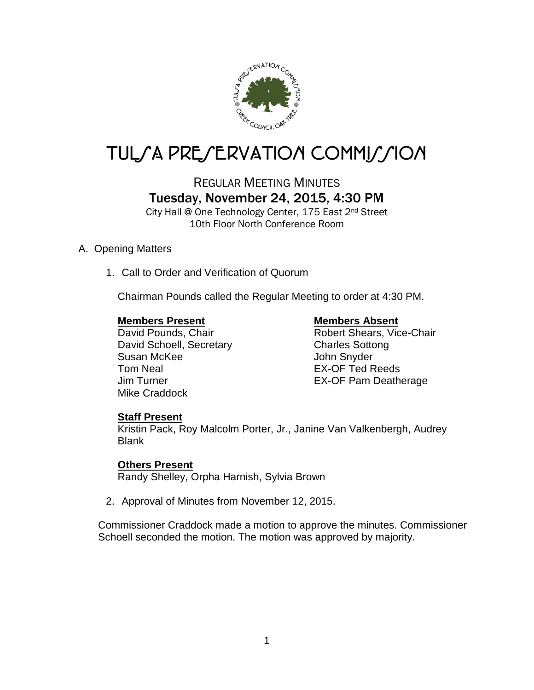

# TUL*SA PRESERVATION COMMISSION*

# REGULAR MEETING MINUTES Tuesday, November 24, 2015, 4:30 PM

City Hall @ One Technology Center, 175 East 2nd Street 10th Floor North Conference Room

### A. Opening Matters

1. Call to Order and Verification of Quorum

Chairman Pounds called the Regular Meeting to order at 4:30 PM.

### **Members Present Members Absent**

David Schoell, Secretary Charles Sottong Susan McKee John Snyder Tom Neal **EX-OF Ted Reeds** Mike Craddock

David Pounds, Chair **Robert Shears**, Vice-Chair Jim Turner EX-OF Pam Deatherage

### **Staff Present**

Kristin Pack, Roy Malcolm Porter, Jr., Janine Van Valkenbergh, Audrey Blank

### **Others Present**

Randy Shelley, Orpha Harnish, Sylvia Brown

2. Approval of Minutes from November 12, 2015.

Commissioner Craddock made a motion to approve the minutes. Commissioner Schoell seconded the motion. The motion was approved by majority.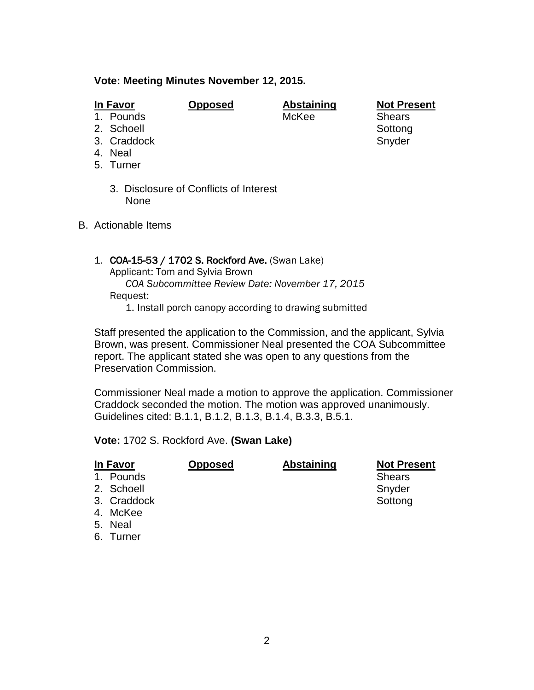#### **Vote: Meeting Minutes November 12, 2015.**

| Ш | ı۷<br>Æ<br>., |
|---|---------------|
|   |               |

**<u>Opposed</u> <b>Abstaining Not Present**<br>McKee **Shears** 

1. Pounds 2. Schoell Sottong

3. Craddock Snyder

- 4. Neal
- 5. Turner
	- 3. Disclosure of Conflicts of Interest None
- B. Actionable Items

#### 1. COA-15-53 / 1702 S. Rockford Ave. (Swan Lake)

Applicant: Tom and Sylvia Brown *COA Subcommittee Review Date: November 17, 2015* Request:

1. Install porch canopy according to drawing submitted

Staff presented the application to the Commission, and the applicant, Sylvia Brown, was present. Commissioner Neal presented the COA Subcommittee report. The applicant stated she was open to any questions from the Preservation Commission.

Commissioner Neal made a motion to approve the application. Commissioner Craddock seconded the motion. The motion was approved unanimously. Guidelines cited: B.1.1, B.1.2, B.1.3, B.1.4, B.3.3, B.5.1.

**Vote:** 1702 S. Rockford Ave. **(Swan Lake)**

| In Favor    | <b>Opposed</b> | <b>Abstaining</b> | <b>Not Present</b> |
|-------------|----------------|-------------------|--------------------|
| 1. Pounds   |                |                   | <b>Shears</b>      |
| 2. Schoell  |                |                   | Snyder             |
| 3. Craddock |                |                   | Sottong            |
| 4. McKee    |                |                   |                    |
| 5. Neal     |                |                   |                    |
| 6. Turner   |                |                   |                    |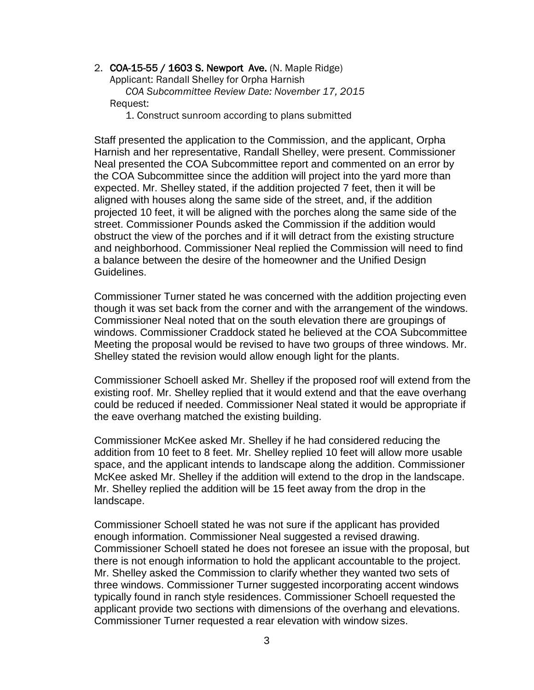2. COA-15-55 / 1603 S. Newport Ave. (N. Maple Ridge) Applicant: Randall Shelley for Orpha Harnish *COA Subcommittee Review Date: November 17, 2015* Request:

1. Construct sunroom according to plans submitted

Staff presented the application to the Commission, and the applicant, Orpha Harnish and her representative, Randall Shelley, were present. Commissioner Neal presented the COA Subcommittee report and commented on an error by the COA Subcommittee since the addition will project into the yard more than expected. Mr. Shelley stated, if the addition projected 7 feet, then it will be aligned with houses along the same side of the street, and, if the addition projected 10 feet, it will be aligned with the porches along the same side of the street. Commissioner Pounds asked the Commission if the addition would obstruct the view of the porches and if it will detract from the existing structure and neighborhood. Commissioner Neal replied the Commission will need to find a balance between the desire of the homeowner and the Unified Design Guidelines.

Commissioner Turner stated he was concerned with the addition projecting even though it was set back from the corner and with the arrangement of the windows. Commissioner Neal noted that on the south elevation there are groupings of windows. Commissioner Craddock stated he believed at the COA Subcommittee Meeting the proposal would be revised to have two groups of three windows. Mr. Shelley stated the revision would allow enough light for the plants.

Commissioner Schoell asked Mr. Shelley if the proposed roof will extend from the existing roof. Mr. Shelley replied that it would extend and that the eave overhang could be reduced if needed. Commissioner Neal stated it would be appropriate if the eave overhang matched the existing building.

Commissioner McKee asked Mr. Shelley if he had considered reducing the addition from 10 feet to 8 feet. Mr. Shelley replied 10 feet will allow more usable space, and the applicant intends to landscape along the addition. Commissioner McKee asked Mr. Shelley if the addition will extend to the drop in the landscape. Mr. Shelley replied the addition will be 15 feet away from the drop in the landscape.

Commissioner Schoell stated he was not sure if the applicant has provided enough information. Commissioner Neal suggested a revised drawing. Commissioner Schoell stated he does not foresee an issue with the proposal, but there is not enough information to hold the applicant accountable to the project. Mr. Shelley asked the Commission to clarify whether they wanted two sets of three windows. Commissioner Turner suggested incorporating accent windows typically found in ranch style residences. Commissioner Schoell requested the applicant provide two sections with dimensions of the overhang and elevations. Commissioner Turner requested a rear elevation with window sizes.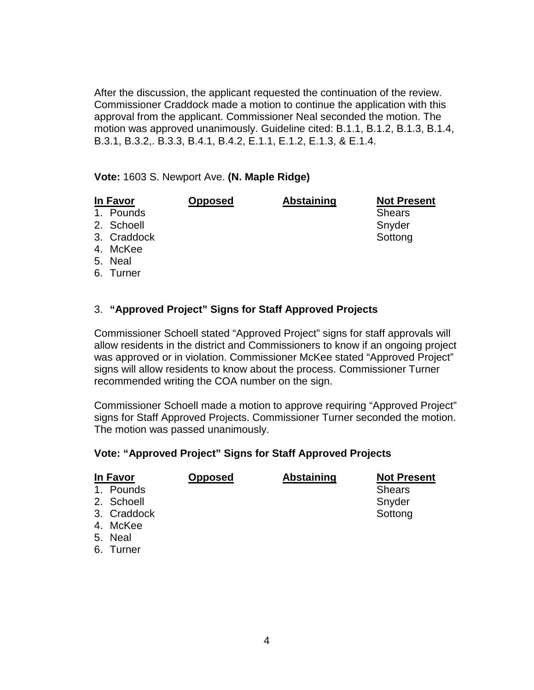After the discussion, the applicant requested the continuation of the review. Commissioner Craddock made a motion to continue the application with this approval from the applicant. Commissioner Neal seconded the motion. The motion was approved unanimously. Guideline cited: B.1.1, B.1.2, B.1.3, B.1.4, B.3.1, B.3.2,. B.3.3, B.4.1, B.4.2, E.1.1, E.1.2, E.1.3, & E.1.4.

**Vote:** 1603 S. Newport Ave. **(N. Maple Ridge)**

# **In Favor Opposed Abstaining Not Present**

1. Pounds and Shears Shears Shears Shears Shears Shears Shears Shears Shears Shears Shears Shears Shears Shears

2. Schoell Snyder Snyder

- 3. Craddock Sottong Sottong Sottong Sottong Sottong Sottong Sottong Sottong Sottong Sottong Sottong Sottong So
- 4. McKee
- 5. Neal
- 6. Turner

## 3. **"Approved Project" Signs for Staff Approved Projects**

Commissioner Schoell stated "Approved Project" signs for staff approvals will allow residents in the district and Commissioners to know if an ongoing project was approved or in violation. Commissioner McKee stated "Approved Project" signs will allow residents to know about the process. Commissioner Turner recommended writing the COA number on the sign.

Commissioner Schoell made a motion to approve requiring "Approved Project" signs for Staff Approved Projects. Commissioner Turner seconded the motion. The motion was passed unanimously.

### **Vote: "Approved Project" Signs for Staff Approved Projects**

| In Favor    | <b>Opposed</b> | <b>Abstaining</b> | <b>Not Present</b> |
|-------------|----------------|-------------------|--------------------|
| 1. Pounds   |                |                   | <b>Shears</b>      |
| 2. Schoell  |                |                   | Snyder             |
| 3. Craddock |                |                   | Sottong            |
| 4. McKee    |                |                   |                    |
| 5. Neal     |                |                   |                    |

6. Turner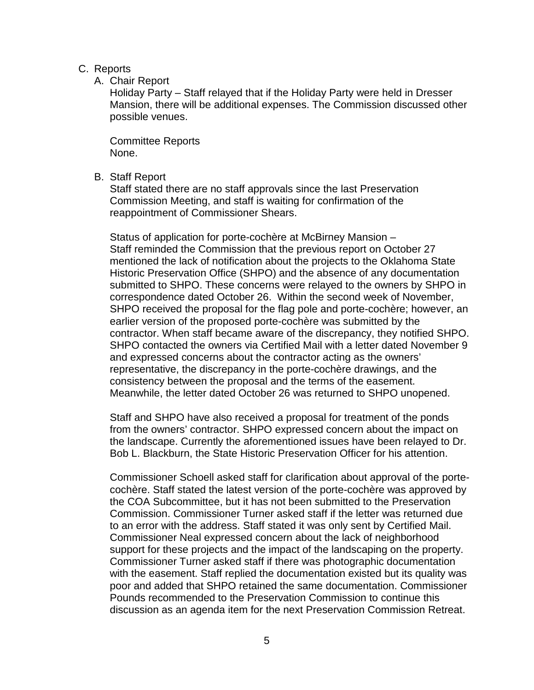#### C. Reports

A. Chair Report

Holiday Party – Staff relayed that if the Holiday Party were held in Dresser Mansion, there will be additional expenses. The Commission discussed other possible venues.

Committee Reports None.

B. Staff Report

Staff stated there are no staff approvals since the last Preservation Commission Meeting, and staff is waiting for confirmation of the reappointment of Commissioner Shears.

Status of application for porte-cochère at McBirney Mansion – Staff reminded the Commission that the previous report on October 27 mentioned the lack of notification about the projects to the Oklahoma State Historic Preservation Office (SHPO) and the absence of any documentation submitted to SHPO. These concerns were relayed to the owners by SHPO in correspondence dated October 26. Within the second week of November, SHPO received the proposal for the flag pole and porte-cochère; however, an earlier version of the proposed porte-cochère was submitted by the contractor. When staff became aware of the discrepancy, they notified SHPO. SHPO contacted the owners via Certified Mail with a letter dated November 9 and expressed concerns about the contractor acting as the owners' representative, the discrepancy in the porte-cochère drawings, and the consistency between the proposal and the terms of the easement. Meanwhile, the letter dated October 26 was returned to SHPO unopened.

Staff and SHPO have also received a proposal for treatment of the ponds from the owners' contractor. SHPO expressed concern about the impact on the landscape. Currently the aforementioned issues have been relayed to Dr. Bob L. Blackburn, the State Historic Preservation Officer for his attention.

Commissioner Schoell asked staff for clarification about approval of the portecochère. Staff stated the latest version of the porte-cochère was approved by the COA Subcommittee, but it has not been submitted to the Preservation Commission. Commissioner Turner asked staff if the letter was returned due to an error with the address. Staff stated it was only sent by Certified Mail. Commissioner Neal expressed concern about the lack of neighborhood support for these projects and the impact of the landscaping on the property. Commissioner Turner asked staff if there was photographic documentation with the easement. Staff replied the documentation existed but its quality was poor and added that SHPO retained the same documentation. Commissioner Pounds recommended to the Preservation Commission to continue this discussion as an agenda item for the next Preservation Commission Retreat.